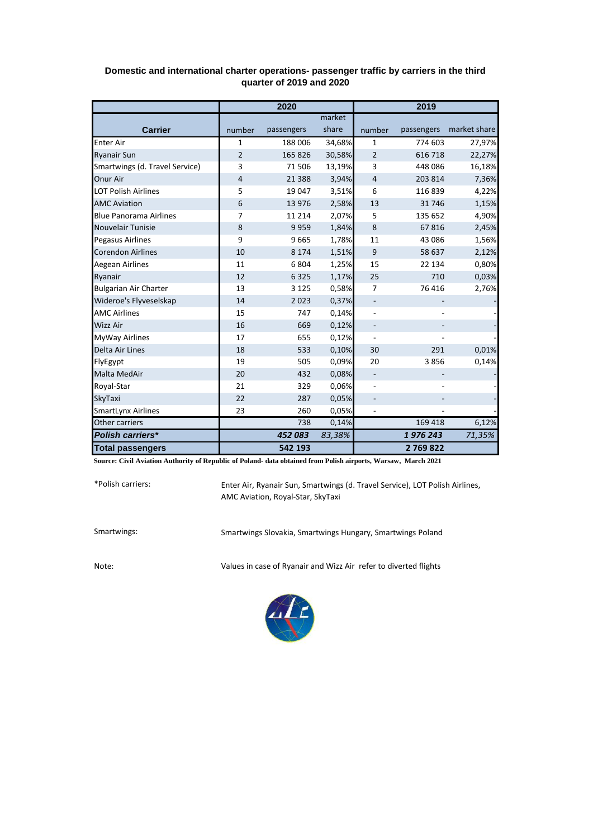|                                | 2020   |            |        | 2019                     |                          |              |
|--------------------------------|--------|------------|--------|--------------------------|--------------------------|--------------|
|                                |        |            | market |                          |                          |              |
| <b>Carrier</b>                 | number | passengers | share  | number                   | passengers               | market share |
| <b>Enter Air</b>               | 1      | 188 006    | 34,68% | 1                        | 774 603                  | 27,97%       |
| <b>Ryanair Sun</b>             | 2      | 165 826    | 30,58% | $\overline{2}$           | 616 718                  | 22,27%       |
| Smartwings (d. Travel Service) | 3      | 71 506     | 13,19% | 3                        | 448 086                  | 16,18%       |
| Onur Air                       | 4      | 21 3 8 8   | 3,94%  | 4                        | 203 814                  | 7,36%        |
| <b>LOT Polish Airlines</b>     | 5      | 19 047     | 3,51%  | 6                        | 116839                   | 4,22%        |
| <b>AMC Aviation</b>            | 6      | 13 976     | 2,58%  | 13                       | 31746                    | 1,15%        |
| <b>Blue Panorama Airlines</b>  | 7      | 11 2 14    | 2,07%  | 5                        | 135 652                  | 4,90%        |
| <b>Nouvelair Tunisie</b>       | 8      | 9959       | 1,84%  | 8                        | 67816                    | 2,45%        |
| <b>Pegasus Airlines</b>        | 9      | 9665       | 1,78%  | 11                       | 43 086                   | 1,56%        |
| <b>Corendon Airlines</b>       | 10     | 8 1 7 4    | 1,51%  | 9                        | 58 637                   | 2,12%        |
| <b>Aegean Airlines</b>         | 11     | 6804       | 1,25%  | 15                       | 22 134                   | 0,80%        |
| Ryanair                        | 12     | 6 3 2 5    | 1,17%  | 25                       | 710                      | 0,03%        |
| <b>Bulgarian Air Charter</b>   | 13     | 3 1 2 5    | 0,58%  | $\overline{7}$           | 76 416                   | 2,76%        |
| Wideroe's Flyveselskap         | 14     | 2023       | 0,37%  | $\overline{\phantom{a}}$ | $\overline{\phantom{a}}$ |              |
| <b>AMC Airlines</b>            | 15     | 747        | 0,14%  |                          |                          |              |
| <b>Wizz Air</b>                | 16     | 669        | 0,12%  | $\overline{\phantom{a}}$ |                          |              |
| <b>MyWay Airlines</b>          | 17     | 655        | 0,12%  |                          |                          |              |
| Delta Air Lines                | 18     | 533        | 0,10%  | 30                       | 291                      | 0,01%        |
| FlyEgypt                       | 19     | 505        | 0,09%  | 20                       | 3856                     | 0,14%        |
| <b>Malta MedAir</b>            | 20     | 432        | 0,08%  | $\overline{\phantom{a}}$ |                          |              |
| Royal-Star                     | 21     | 329        | 0,06%  |                          |                          |              |
| SkyTaxi                        | 22     | 287        | 0,05%  | $\overline{\phantom{a}}$ |                          |              |
| <b>SmartLynx Airlines</b>      | 23     | 260        | 0,05%  |                          |                          |              |
| Other carriers                 |        | 738        | 0,14%  |                          | 169 418                  | 6,12%        |
| <b>Polish carriers*</b>        |        | 452 083    | 83,38% |                          | 1976243                  | 71,35%       |
| <b>Total passengers</b>        |        | 542 193    |        |                          | 2769822                  |              |

## **Domestic and international charter operations- passenger traffic by carriers in the third quarter of 2019 and 2020**

**Source: Civil Aviation Authority of Republic of Poland- data obtained from Polish airports, Warsaw, March 2021**

\*Polish carriers:

Enter Air, Ryanair Sun, Smartwings (d. Travel Service), LOT Polish Airlines, AMC Aviation, Royal-Star, SkyTaxi

Smartwings: Smartwings Slovakia, Smartwings Hungary, Smartwings Poland

Note: Values in case of Ryanair and Wizz Air refer to diverted flights